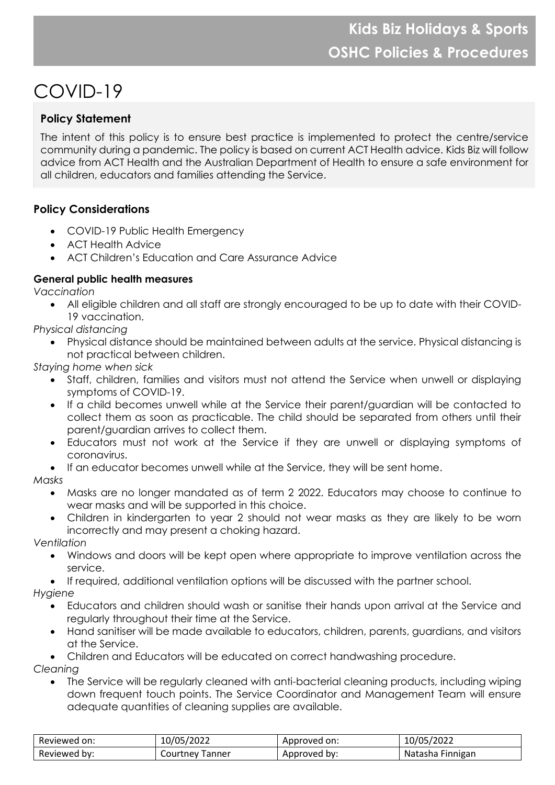# COVID-19

# **Policy Statement**

The intent of this policy is to ensure best practice is implemented to protect the centre/service community during a pandemic. The policy is based on current ACT Health advice. Kids Biz will follow advice from ACT Health and the Australian Department of Health to ensure a safe environment for all children, educators and families attending the Service.

## **Policy Considerations**

- COVID-19 Public Health Emergency
- ACT Health Advice
- ACT Children's Education and Care Assurance Advice

## **General public health measures**

*Vaccination*

• All eligible children and all staff are strongly encouraged to be up to date with their COVID-19 vaccination.

*Physical distancing*

• Physical distance should be maintained between adults at the service. Physical distancing is not practical between children.

*Staying home when sick*

- Staff, children, families and visitors must not attend the Service when unwell or displaying symptoms of COVID-19.
- If a child becomes unwell while at the Service their parent/guardian will be contacted to collect them as soon as practicable. The child should be separated from others until their parent/guardian arrives to collect them.
- Educators must not work at the Service if they are unwell or displaying symptoms of coronavirus.
- If an educator becomes unwell while at the Service, they will be sent home.

*Masks*

- Masks are no longer mandated as of term 2 2022. Educators may choose to continue to wear masks and will be supported in this choice.
- Children in kindergarten to year 2 should not wear masks as they are likely to be worn incorrectly and may present a choking hazard.

*Ventilation*

- Windows and doors will be kept open where appropriate to improve ventilation across the service.
- If required, additional ventilation options will be discussed with the partner school.

*Hygiene*

- Educators and children should wash or sanitise their hands upon arrival at the Service and regularly throughout their time at the Service.
- Hand sanitiser will be made available to educators, children, parents, guardians, and visitors at the Service.
- Children and Educators will be educated on correct handwashing procedure.

*Cleaning*

• The Service will be regularly cleaned with anti-bacterial cleaning products, including wiping down frequent touch points. The Service Coordinator and Management Team will ensure adequate quantities of cleaning supplies are available.

| Reviewed on: | 10/05/2022      | Approved on:    | 10/05/2022                 |
|--------------|-----------------|-----------------|----------------------------|
| Reviewed by: | Courtney Tanner | bv:<br>Approved | <b>Finnigan</b><br>Natasha |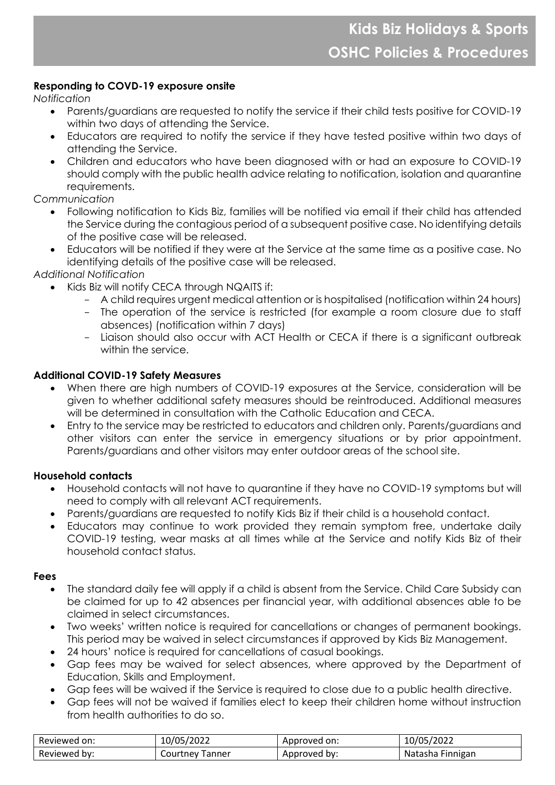## **Responding to COVD-19 exposure onsite**

*Notification*

- Parents/guardians are requested to notify the service if their child tests positive for COVID-19 within two days of attending the Service.
- Educators are required to notify the service if they have tested positive within two days of attending the Service.
- Children and educators who have been diagnosed with or had an exposure to COVID-19 should comply with the public health advice relating to notification, isolation and quarantine requirements.

*Communication*

- Following notification to Kids Biz, families will be notified via email if their child has attended the Service during the contagious period of a subsequent positive case. No identifying details of the positive case will be released.
- Educators will be notified if they were at the Service at the same time as a positive case. No identifying details of the positive case will be released.

*Additional Notification*

- Kids Biz will notify CECA through NQAITS if:
	- A child requires urgent medical attention or is hospitalised (notification within 24 hours)
	- The operation of the service is restricted (for example a room closure due to staff absences) (notification within 7 days)
	- Liaison should also occur with ACT Health or CECA if there is a significant outbreak within the service.

## **Additional COVID-19 Safety Measures**

- When there are high numbers of COVID-19 exposures at the Service, consideration will be given to whether additional safety measures should be reintroduced. Additional measures will be determined in consultation with the Catholic Education and CECA.
- Entry to the service may be restricted to educators and children only. Parents/guardians and other visitors can enter the service in emergency situations or by prior appointment. Parents/guardians and other visitors may enter outdoor areas of the school site.

#### **Household contacts**

- Household contacts will not have to quarantine if they have no COVID-19 symptoms but will need to comply with all relevant ACT requirements.
- Parents/guardians are requested to notify Kids Biz if their child is a household contact.
- Educators may continue to work provided they remain symptom free, undertake daily COVID-19 testing, wear masks at all times while at the Service and notify Kids Biz of their household contact status.

#### **Fees**

- The standard daily fee will apply if a child is absent from the Service. Child Care Subsidy can be claimed for up to 42 absences per financial year, with additional absences able to be claimed in select circumstances.
- Two weeks' written notice is required for cancellations or changes of permanent bookings. This period may be waived in select circumstances if approved by Kids Biz Management.
- 24 hours' notice is required for cancellations of casual bookings.
- Gap fees may be waived for select absences, where approved by the Department of Education, Skills and Employment.
- Gap fees will be waived if the Service is required to close due to a public health directive.
- Gap fees will not be waived if families elect to keep their children home without instruction from health authorities to do so.

| Reviewed on: | 10000<br>72022<br>$\triangle$ U/!<br>וטט | Appr<br>on:<br>າroved | /2022<br>∽<br>'05.<br>TOV. |
|--------------|------------------------------------------|-----------------------|----------------------------|
| Reviewed by: | <b>anner</b>                             | Approved              | <b>Finnigan</b>            |
|              | courtney                                 | pv.                   | Natasha                    |